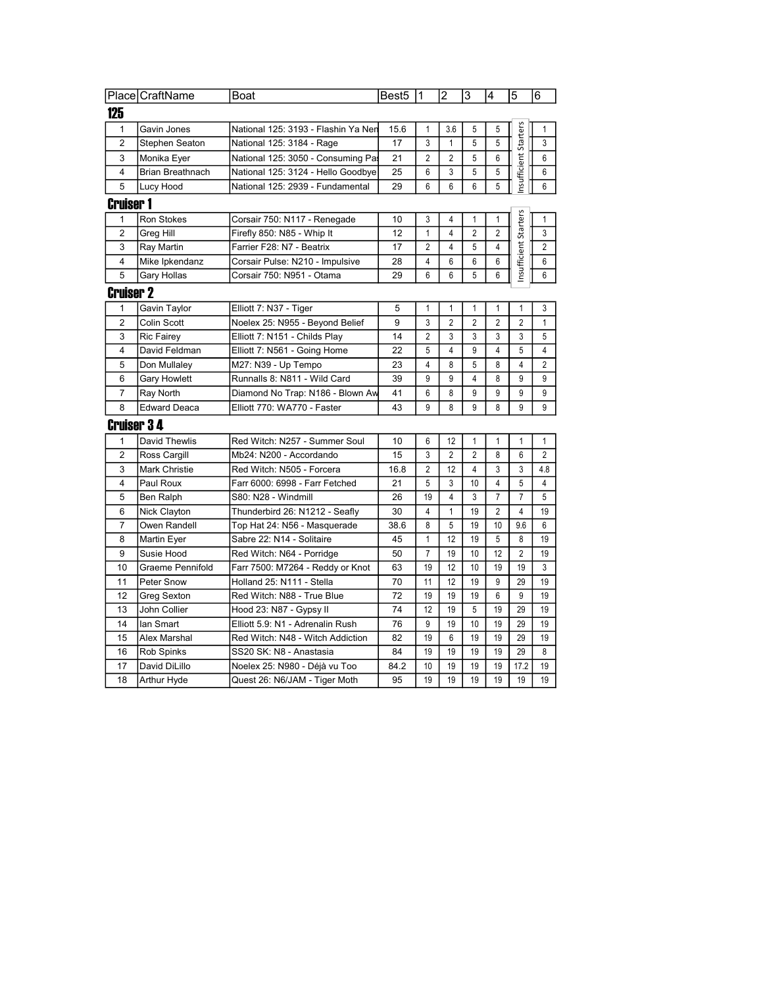|                         | Place CraftName      | Boat                                | Best5  | 11             | $\overline{2}$                 | 3              | 4              | 5                     | 6              |
|-------------------------|----------------------|-------------------------------------|--------|----------------|--------------------------------|----------------|----------------|-----------------------|----------------|
| 125                     |                      |                                     |        |                |                                |                |                |                       |                |
| $\mathbf{1}$            | Gavin Jones          | National 125: 3193 - Flashin Ya Ner | 15.6   | $\mathbf{1}$   | 3.6                            | 5              | 5              |                       | 1              |
| $\overline{2}$          | Stephen Seaton       | National 125: 3184 - Rage           | 17     | 3              | $\mathbf{1}$                   | 5              | 5              | Starters              | 3              |
| 3                       | Monika Eyer          | National 125: 3050 - Consuming Pa   | 21     | $\overline{2}$ | $\overline{2}$                 | 5              | 6              |                       | 6              |
| 4                       | Brian Breathnach     | National 125: 3124 - Hello Goodbye  | 25     | 6              | 3                              | 5              | 5              | nsufficient           | 6              |
| 5                       | Lucy Hood            | National 125: 2939 - Fundamental    | 29     | 6              | 6                              | 6              | 5              |                       | 6              |
| <b>Cruiser 1</b>        |                      |                                     |        |                |                                |                |                |                       |                |
| 1                       | Ron Stokes           | Corsair 750: N117 - Renegade        | 10     | 3              | 4                              | 1              | 1              |                       | $\mathbf{1}$   |
| $\overline{2}$          | Greg Hill            | Firefly 850: N85 - Whip It          | 12     | $\mathbf{1}$   | $\overline{4}$                 | $\overline{2}$ | $\overline{2}$ |                       | 3              |
| 3                       | Ray Martin           | Farrier F28: N7 - Beatrix           | 17     | 2              | 4                              | 5              | 4              |                       | $\overline{2}$ |
| 4                       | Mike Ipkendanz       | Corsair Pulse: N210 - Impulsive     | 28     | 4              | 6                              | 6              | 6              | Insufficient Starters | 6              |
| 5                       | Gary Hollas          | Corsair 750: N951 - Otama           | 29     | 6              | 6                              | 5              | 6              |                       | 6              |
| <b>Cruiser 2</b>        |                      |                                     |        |                |                                |                |                |                       |                |
|                         |                      |                                     |        |                |                                |                |                |                       |                |
| $\mathbf{1}$            | Gavin Taylor         | Elliott 7: N37 - Tiger              | 5<br>9 | $\mathbf{1}$   | $\mathbf{1}$<br>$\overline{2}$ | $\mathbf{1}$   | $\mathbf{1}$   | $\mathbf{1}$          | 3              |
| $\overline{2}$          | Colin Scott          | Noelex 25: N955 - Beyond Belief     |        | 3              |                                | $\overline{2}$ | $\overline{2}$ | $\overline{2}$        | $\mathbf{1}$   |
| 3                       | Ric Fairey           | Elliott 7: N151 - Childs Play       | 14     | $\overline{2}$ | 3                              | 3              | 3              | 3                     | 5              |
| $\overline{4}$          | David Feldman        | Elliott 7: N561 - Going Home        | 22     | 5              | $\overline{4}$                 | 9              | $\overline{4}$ | 5                     | $\overline{4}$ |
| 5                       | Don Mullaley         | M27: N39 - Up Tempo                 | 23     | 4              | 8                              | 5              | 8              | $\overline{4}$        | $\overline{2}$ |
| 6                       | Gary Howlett         | Runnalls 8: N811 - Wild Card        | 39     | 9              | 9                              | 4              | 8              | 9                     | 9              |
| $\overline{7}$          | Ray North            | Diamond No Trap: N186 - Blown Aw    | 41     | 6              | 8                              | 9              | 9              | 9                     | 9              |
| 8                       | Edward Deaca         | Elliott 770: WA770 - Faster         | 43     | 9              | 8                              | 9              | 8              | 9                     | 9              |
| <b>Cruiser 34</b>       |                      |                                     |        |                |                                |                |                |                       |                |
| 1                       | David Thewlis        | Red Witch: N257 - Summer Soul       | 10     | 6              | 12                             | 1              | 1              | 1                     | 1              |
| $\overline{2}$          | Ross Cargill         | Mb24: N200 - Accordando             | 15     | 3              | $\overline{2}$                 | $\overline{2}$ | 8              | 6                     | $\overline{2}$ |
| 3                       | <b>Mark Christie</b> | Red Witch: N505 - Forcera           | 16.8   | $\overline{2}$ | 12                             | 4              | 3              | 3                     | 4.8            |
| $\overline{\mathbf{4}}$ | Paul Roux            | Farr 6000: 6998 - Farr Fetched      | 21     | 5              | 3                              | 10             | 4              | 5                     | $\overline{4}$ |
| 5                       | Ben Ralph            | S80: N28 - Windmill                 | 26     | 19             | 4                              | 3              | 7              | $\overline{7}$        | 5              |
| 6                       | Nick Clayton         | Thunderbird 26: N1212 - Seafly      | 30     | 4              | $\mathbf{1}$                   | 19             | 2              | $\overline{4}$        | 19             |
| $\overline{7}$          | Owen Randell         | Top Hat 24: N56 - Masquerade        | 38.6   | 8              | 5                              | 19             | 10             | 9.6                   | 6              |
| 8                       | Martin Eyer          | Sabre 22: N14 - Solitaire           | 45     | $\mathbf{1}$   | 12                             | 19             | 5              | 8                     | 19             |
| 9                       | Susie Hood           | Red Witch: N64 - Porridge           | 50     | $\overline{7}$ | 19                             | 10             | 12             | 2                     | 19             |
| 10                      | Graeme Pennifold     | Farr 7500: M7264 - Reddy or Knot    | 63     | 19             | 12                             | 10             | 19             | 19                    | 3              |
| 11                      | Peter Snow           | Holland 25: N111 - Stella           | 70     | 11             | 12                             | 19             | 9              | 29                    | 19             |
| 12                      | Greg Sexton          | Red Witch: N88 - True Blue          | 72     | 19             | 19                             | 19             | 6              | 9                     | 19             |
| 13                      | John Collier         | Hood 23: N87 - Gypsy II             | 74     | 12             | 19                             | 5              | 19             | 29                    | 19             |
| 14                      | lan Smart            | Elliott 5.9: N1 - Adrenalin Rush    | 76     | 9              | 19                             | 10             | 19             | 29                    | 19             |
| 15                      | Alex Marshal         | Red Witch: N48 - Witch Addiction    | 82     | 19             | 6                              | 19             | 19             | 29                    | 19             |
| 16                      | Rob Spinks           | SS20 SK: N8 - Anastasia             | 84     | 19             | 19                             | 19             | 19             | 29                    | 8              |
| 17                      | David DiLillo        | Noelex 25: N980 - Déjà vu Too       | 84.2   | 10             | 19                             | 19             | 19             | 17.2                  | 19             |
| 18                      | <b>Arthur Hyde</b>   | Quest 26: N6/JAM - Tiger Moth       | 95     | 19             | 19                             | 19             | 19             | 19                    | 19             |